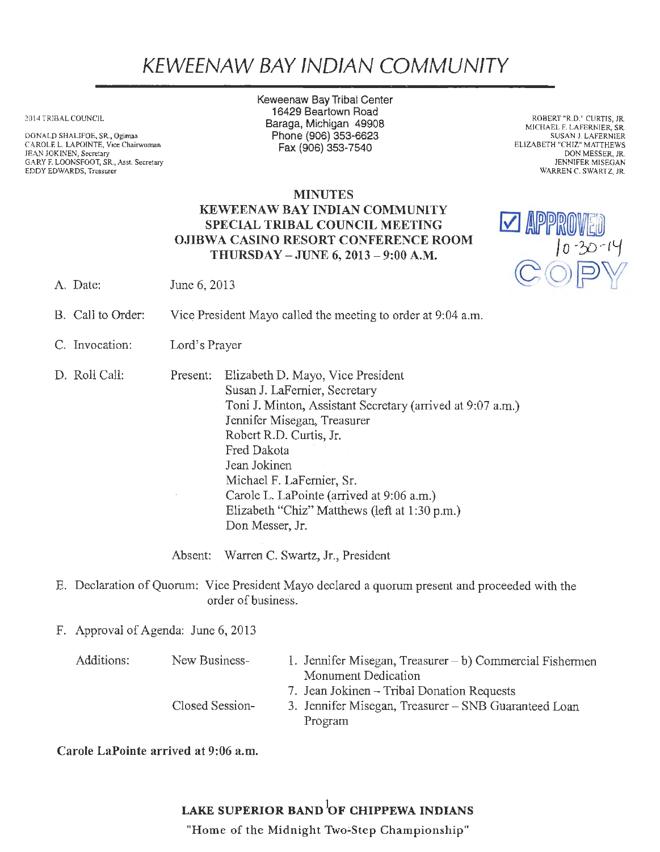## KEWEENAW BAY IND/AN COMMUNITY

2014 TRIBAL COUNCIL

DONALD SHALIFOE. SR., Ogimaa CAROLE L. LAPOINTE, Vice Chairwoman JEAN JOKINEN, Secretary GARY F. LOONSFOOT, SR., Asst. Secretary EDDY EDWARDS, Treasurer

Keweenaw Bay Tribal Center 16429 Beartown Road Baraga, Michigan 49908 Phone (906) 353-6623 Fax(906)353-7540

ROBERT "R.D." CURTIS, JR. MICHAEL F. LAFERNIER, SR. SUSAN J. LAFERNIER ELIZABETH "CHIZ" MATTHEWS DON MESSER, JR. JENNIFER MISEGAN WARREN C. SWARTZ, JR.

## **MINUTES** KEWEENAW BAY INDIAN COMMUNITY SPECIAL TRIBAL COUNCIL MEETING OJIBWA CASINO RESORT CONFERENCE ROOM THURSDAY -JUNE 6, 2013 - 9:00 A.M.



- A. Date: June 6, 2013
- B. Call to Order: Vice President Mayo called the meeting to order at 9:04 a.m.
- C. Invocation: Lord's Prayer
- D. Roll Call:

Present: Elizabeth D. Mayo, Vice President Susan J. LaFemier, Secretary Toni J. Minton, Assistant Secretary (arrived at 9:07 a.m.) Jennifer Misegan, Treasurer Robert RD. Curtis, Jr. Fred Dakota Jean Jokinen Michael F. LaFemier, Sr. Carole L. LaPointe (arrived at 9:06 a.m.) Elizabeth "Chiz" Matthews (left at 1 :30 p.m.) Don Messer, Jr.

Absent: Warren C. Swartz, Jr., President

- E. Declaration of Quorum: Vice President Mayo declared a quorum present and proceeded with the order of business.
- F. Approval of Agenda: June 6, 2013

| Additions: | New Business-   | 1. Jennifer Misegan, Treasurer $- b$ ) Commercial Fishermen |
|------------|-----------------|-------------------------------------------------------------|
|            |                 | Monument Dedication                                         |
|            |                 | 7. Jean Jokinen – Tribal Donation Requests                  |
|            | Closed Session- | 3. Jennifer Misegan, Treasurer – SNB Guaranteed Loan        |
|            |                 | Program                                                     |

Carole LaPointe arrived at 9:06 a.m.

## LAKE SUPERIOR BAND OF CHIPPEWA INDIANS

"Home of the Midnight Two~Step Championship"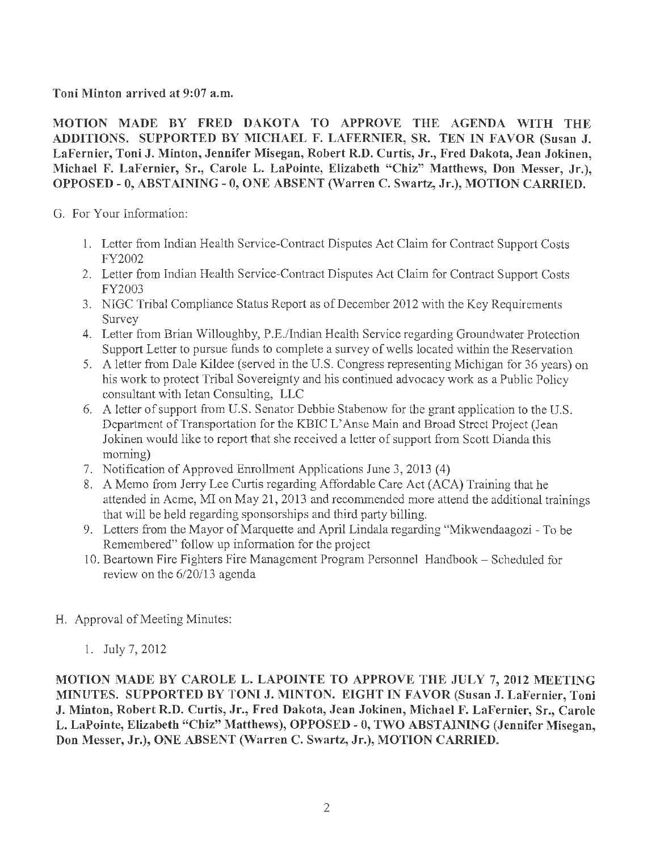Toni Minton arrived at 9:07 a.m.

MOTION MADE BY FRED DAKOTA TO APPROVE THE AGENDA WITH THE ADDITIONS. SUPPORTED BY MICHAEL F. LAFERNIER, SR. TEN IN FAVOR (Susan J. LaFernier, Toni J. Minton, Jennifer Misegan, Robert R.D. Curtis, Jr., Fred Dakota, Jean Jokinen, Michael F. LaFernier, Sr., Carole L. LaPointe, Elizabeth "Chiz" Matthews, Don Messer, Jr.), OPPOSED - O, ABSTAINING- 0, ONE ABSENT (Warren C. Swartz, Jr.), MOTION CARRIED.

G. For Your Information:

- 1. Letter from Indian Health Service-Contract Disputes Act Claim for Contract Support Costs FY2002
- 2. Letter from Indian Health Service-Contract Disputes Act Claim for Contract Support Costs FY2003
- 3. NIGC Tribal Compliance Status Report as of December 2012 with the Key Requirements Survey
- 4. Letter from Brian Willoughby, P.E./Indian Health Service regarding Groundwater Protection Support Letter to pursue funds to complete a survey of wells located within the Reservation
- 5. A letter from Dale Kildee (served in the U.S. Congress representing Michigan for 36 years) on his work to protect Tribal Sovereignty and his continued advocacy work as a Public Policy consultant with Ietan Consulting, LLC
- 6. A letter of support from U.S. Senator Debbie Stabenow for the grant application to the U.S. Department of Transportation for the KBIC L'Anse Main and Broad Street Project (Jean Jokinen would like to report that she received a letter of support from Scott Dianda this morning)
- 7. Notification of Approved Emollrnent Applications June 3, 2013 (4)
- 8. A Memo from Jerry Lee Curtis regarding Affordable Care Act (ACA) Training that he attended in Acme, MI on May 21, 2013 and recommended more attend the additional trainings that will be held regarding sponsorships and third party billing.
- 9. Letters from the Mayor of Marquette and April Lindala regarding "Mikwendaagozi To be Remembered" follow up information for the project
- 10. Beartown Fire Fighters Fire Management Program Personnel Handbook Scheduled for review on the 6/20/13 agenda
- H. Approval of Meeting Minutes:
	- 1. July 7, 2012

MOTION MADE BY CAROLE L. LAPOINTE TO APPROVE THE JULY 7, 2012 MEETING MINUTES. SUPPORTED BY TONI J. MINTON. EIGHT IN FAVOR (Susan J. LaFernier, Toni J. Minton, Robert R.D. Curtis, Jr., Fred Dakota, Jean Jokinen, Michael F. LaFernier, Sr., Carole L. LaPointe, Elizabeth "Chiz" Matthews), OPPOSED - 0, TWO ABSTAINING (Jennifer Misegan, Don Messer, Jr.), ONE ABSENT (Warren C. Swartz, Jr.), MOTION CARRIED.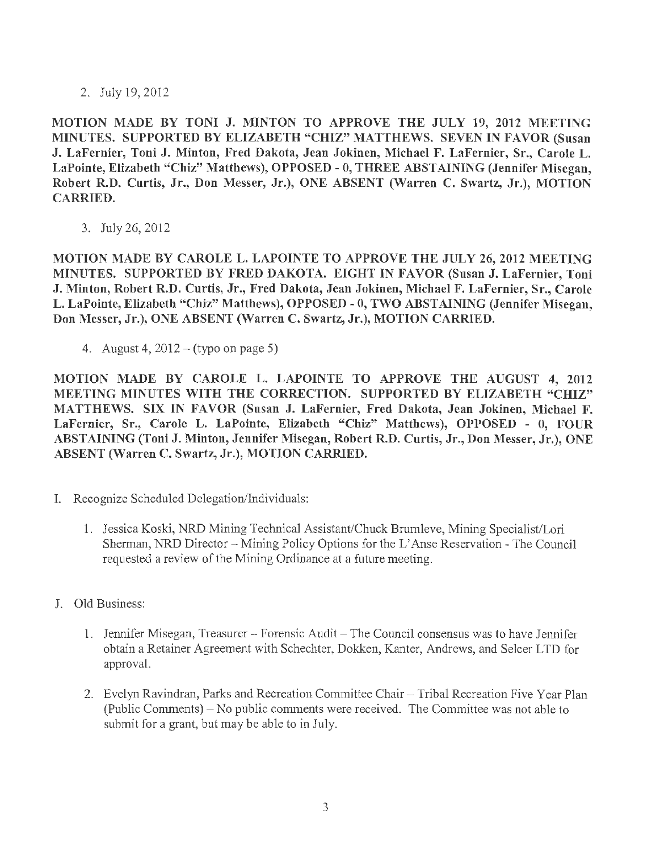2. July 19, 2012

MOTION MADE BY TONI J. MINTON TO APPROVE THE JULY 19, 2012 MEETING MINUTES. SUPPORTED BY ELIZABETH "CHIZ" MATTHEWS. SEVEN IN FAVOR (Susan J. LaFernier, Toni J. Minton, Fred Dakota, Jean Jokinen, Michael F. LaFernier, Sr., Carole L. LaPointe, Elizabeth "Chiz" Matthews), OPPOSED - 0, THREE ABSTAINING (Jennifer Misegan, Robert R.D. Curtis, Jr., Don Messer, Jr.), ONE ABSENT (Warren C. Swartz, Jr.), MOTION CARRIED.

3. July 26, 2012

MOTION MADE BY CAROLE L. LAPOINTE TO APPROVE THE JULY 26, 2012 MEETING MINUTES. SUPPORTED BY FRED DAKOTA. EIGHT IN FAVOR (Susan J. LaFernier, Toni J. Minton, Robert R.D. Curtis, Jr., Fred Dakota, Jean Jokinen, Michael F. LaFernier, Sr., Carole L. LaPointe, Elizabeth "Chiz" Matthews), OPPOSED - 0, TWO ABSTAINING (Jennifer Misegan, Don Messer, Jr.), ONE ABSENT (Warren C. Swartz, Jr.), MOTION CARRIED.

4. August 4,  $2012 - (type on page 5)$ 

MOTION MADE BY CAROLE L. LAPOINTE TO APPROVE THE AUGUST 4, 2012 MEETING MINUTES WITH THE CORRECTION. SUPPORTED BY ELIZABETH "CHIZ" MATTHEWS. SIX IN FAVOR (Susan J. LaFernier, Fred Dakota, Jean Jokinen, Michael F. LaFcrnicr, Sr., Carole L. LaPointe, Elizabeth "Chiz" Matthews), OPPOSED - O, FOUR ABSTAINING {Toni J. Minton, Jennifer Misegan, Robert R.D. Curtis, Jr., Don Messer, Jr.), ONE ABSENT (Warren C. Swartz, Jr.), MOTION CARRIED.

- I. Recognize Scheduled Delegation/Individuals:
	- 1. Jessica Koski, NRD Mining Technical Assistant/Chuck Brumleve, Mining Specialist/Lori Sherman, NRD Director - Mining Policy Options for the L'Anse Reservation - The Council requested a review of the Mining Ordinance at a future meeting.
- J. Old Business:
	- 1. Jennifer Misegan, Treasurer Forensic Audit The Council consensus was to have Jennifer obtain a Retainer Agreement with Schechter, Dokken, Kanter, Andrews, and Selcer LTD for approval.
	- 2. Evelyn Ravindran, Parks and Recreation Committee Chair Tribal Recreation Five Year Plan (Public Comments)-No public comments were received. The Committee was not able to submit for a grant, but may be able to in July.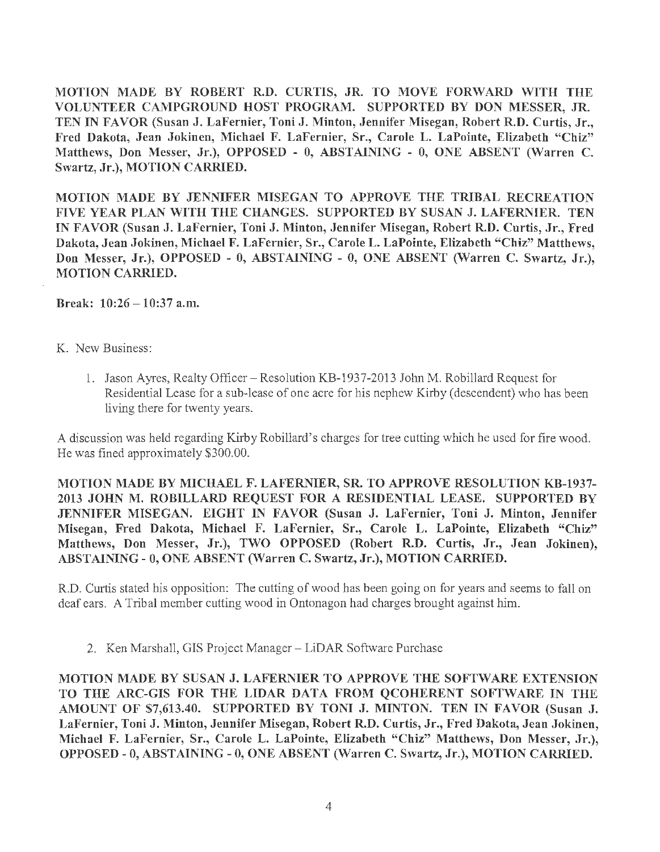MOTION MADE BY ROBERT R.D. CURTIS, JR. TO MOVE FORWARD WITH THE VOLUNTEER CAMPGROUND HOST PROGRAM. SUPPORTED BY DON MESSER, JR. TEN IN FAVOR (Susan J. LaFernier, Toni J. Minton, Jennifer Misegan, Robert R.D. Curtis, Jr., Fred Dakota, Jean Jokinen, Michael F. LaFernier, Sr., Carole L. LaPointe, Elizabeth "Chiz" Matthews, Don Messer, Jr.), OPPOSED - 0, ABSTAINING - 0, ONE ABSENT (Warren C. Swartz, Jr.), MOTION CARRIED.

MOTION MADE BY JENNIFER MISEGAN TO APPROVE THE TRIBAL RECREATION FIVE YEAR PLAN WITH THE CHANGES. SUPPORTED BY SUSAN J. LAFERNIER. TEN IN FAVOR (Susan J. LaFernier, Toni J. Minton, Jennifer Misegan, Robert R.D. Curtis, Jr., Fred Dakota, Jean Jokinen, Michael F. LaFernier, Sr., Carole L. LaPointe, Elizabeth "Chiz" Matthews, Don Messer, Jr.), OPPOSED - 0, ABSTAINING - 0, ONE ABSENT (Warren C. Swartz, Jr.), MOTION CARRIED.

Break:  $10:26 - 10:37$  a.m.

## K. New Business:

1. Jason Ayres, Realty Officer-Resolution KB-1937-2013 John M. Robillard Request for Residential Lease for a sub-lease of one acre for his nephew Kirby (descendent) who has been living there for twenty years.

A discussion was held regarding Kirby Robillard's charges for tree cutting which he used for fire wood. He was fined approximately \$300.00.

MOTION MADE BY MICHAEL F. LAFERNIER, SR. TO APPROVE RESOLUTION KB-1937- 2013 JOHN M. ROBILLARD REQUEST FOR A RESIDENTIAL LEASE. SUPPORTED BY JENNIFER MISEGAN. EIGHT IN FAVOR (Susan J. LaFernier, Toni J. Minton, Jennifer Misegan, Fred Dakota, Michael F. LaFernier, Sr., Carole L. LaPointe, Elizabeth "Chiz" Matthews, Don Messer, Jr.), TWO OPPOSED (Robert R.D. Curtis, Jr., Jean Jokinen), ABSTAINING - O, ONE ABSENT (Warren C. Swartz, Jr.), MOTION CARRIED.

R.D. Curtis stated his opposition: The cutting of wood has been going on for years and seems to fall on deaf ears. A Tribal member cutting wood in Ontonagon had charges brought against him.

2. Ken Marshall, GIS Project Manager- LiDAR Software Purchase

MOTION MADE BY SUSAN J. LAFERNIER TO APPROVE THE SOFTWARE EXTENSION TO THE ARC-GIS FOR THE LIDAR DATA FROM QCOHERENT SOFTWARE IN THE AMOUNT OF \$7,613.40. SUPPORTED BY TONI J. MINTON. TEN IN FAVOR (Susan J. LaFernier, Toni J. Minton, Jennifer Misegan, Robert R.D. Curtis, Jr., Fred Dakota, Jean Jokinen, Michael F. LaFernier, Sr., Carole L. LaPointe, Elizabeth "Chiz" Matthews, Don Messer, Jr.), OPPOSED - 0, ABSTAINING - O, ONE ABSENT (Warren C. Swartz, Jr.), MOTION CARRIED.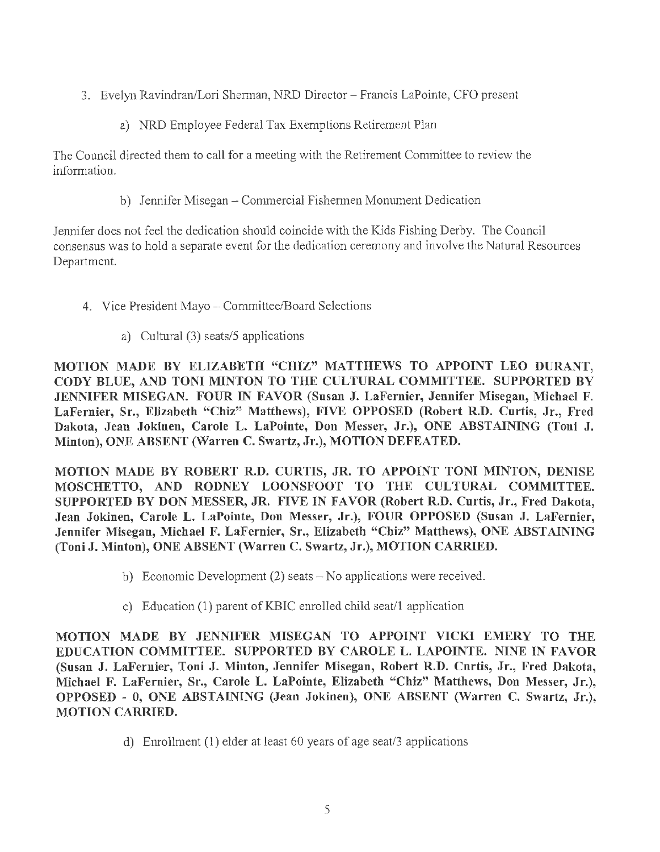- 3. Evelyn Ravindran/Lori Shennan, NRD Director- Francis LaPointe, CFO present
	- a) NRD Employee Federal Tax Exemptions Retirement Plan

The Council directed them to call for a meeting with the Retirement Committee to review the information.

b) Jennifer Misegan - Commercial Fishermen Monument Dedication

Jennifer does not feel the dedication should coincide with the Kids Fishing Derby. The Council consensus was to hold a separate event for the dedication ceremony and involve the Natural Resources Department.

- 4. Vice President Mayo Committee/Board Selections
	- a) Cultural (3) seats/5 applications

MOTION MADE BY ELIZABETH "CHIZ" MATTHEWS TO APPOINT LEO DURANT, CODY BLUE, AND TONI MINTON TO THE CULTURAL COMMITTEE. SUPPORTED BY JENNIFER MISEGAN. FOUR IN FAVOR (Susan J. LaFernier, Jennifer Misegan, Michael F. LaFernier, Sr., Elizabeth "Chiz" Matthews), FIVE OPPOSED (Robert R.D. Curtis, Jr., Fred Dakota, Jean Jokinen, Carole L. LaPuinte, Dun Messer, Jr.), ONE ABSTAINING (Toni J. Minton), ONE ABSENT (Warren C. Swartz, Jr.), MOTION DEFEATED.

MOTION MADE BY ROBERT R.D. CURTIS, JR. TO APPOINT TONI MINTON, DENISE MOSCHETTO, AND RODNEY LOONSFOOT TO THE CULTURAL COMMITTEE. SUPPORTED BY DON MESSER, JR. FIVE IN FAVOR (Robert R.D. Curtis, Jr., Fred Dakota, Jean Jokinen, Carole L. LaPointe, Don Messer, Jr.), FOUR OPPOSED (Susan J. LaFernier, Jennifer Misegan, Michael F. LaFernier, Sr., Elizabeth "Chiz" Matthews), ONE ABSTAINING (Toni J. Minton), ONE ABSENT (Warren C. Swartz, Jr.), MOTION CARRIED.

- b) Economic Development (2) seats No applications were received.
- c) Education (1) parent of KBIC enrolled child seat/1 application

MOTION MADE BY JENNIFER MISEGAN TO APPOINT VICKI EMERY TO THE EDUCATION COMMITTEE. SUPPORTED BY CAROLE L. LAPOINTE. NINE IN FAVOR (Susan J. LaFernier, Toni J. Minton, Jennifer Misegan, Robert R.D. Curtis, Jr., Fred Dakota, Michael F. LaFernier, Sr., Carole L. LaPointe, Elizabeth "Chiz" Matthews, Don Messer, Jr.), OPPOSED - O, ONE ABSTAINING (Jean Jokinen), ONE ABSENT (Warren C. Swartz, Jr.), MOTION CARRIED.

d) Enrollment (1) elder at least 60 years of age seat/3 applications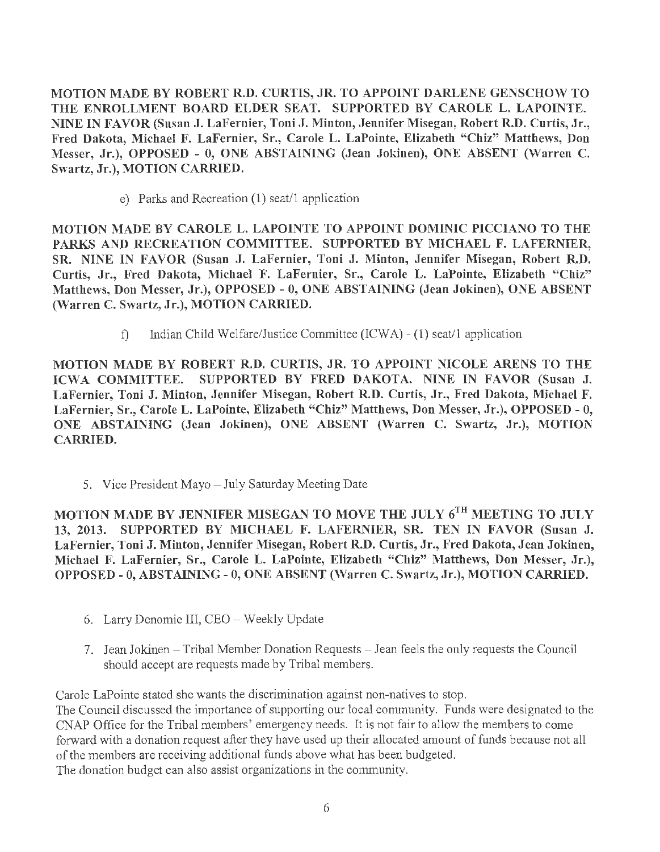MOTION MADE BY ROBERT R.D. CURTIS, JR. TO APPOINT DARLENE GENSCHOW TO THE ENROLLMENT BOARD ELDER SEAT. SUPPORTED BY CAROLE L. LAPOINTE. NINE IN FAVOR (Susan J. LaFernier, Toni J. Minton, Jennifer Misegan, Robert R.D. Curtis, Jr., Fred Dakota, Michael F. LaFernier, Sr., Carole L. LaPointe, Elizabeth "Chiz" Matthews, Don Messer, Jr.), OPPOSED - O, ONE ABSTAINING (Jean Jokinen), ONE ABSENT (Warren C. Swartz, Jr.), MOTION CARRIED.

e) Parks and Recreation (1) seat/1 application

MOTION MADE BY CAROLE L. LAPOINTE TO APPOINT DOMINIC PICCIANO TO THE PARKS AND RECREATION COMMITTEE. SUPPORTED BY MICHAEL F. LAFERNIER, SR. NINE IN FAVOR (Susan J. LaFernier, Toni J. Minton, Jennifer Misegan, Robert R.D. Curtis, Jr., Fred Dakota, Michael F. LaFernier, Sr., Carole L. LaPointe, Elizabeth "Chiz" Matthews, Don Messer, Jr.), OPPOSED - 0, ONE ABSTAINING (Jean Jokinen), ONE ABSENT (Warren C. Swartz, Jr.), MOTION CARRIED.

f) Indian Child Welfare/Justice Committee (ICW A) - (1) seat/1 application

MOTION MADE BY ROBERT R.D. CURTIS, JR. TO APPOINT NICOLE ARENS TO THE ICWA COMMITTEE. SUPPORTED BY FRED DAKOTA. NINE IN FAVOR (Susan J. LaFernier, Toni J. Minton, Jennifer Misegan, Robert R.D. Curtis, Jr., Fred Dakota, Michael F. LaFernier, Sr., Carole L. LaPointe, Elizabeth "Chiz" Matthews, Don Messer, Jr.), OPPOSED - O, ONE ABSTAINING (Jean Jokinen), ONE ABSENT (Warren C. Swartz, Jr.), MOTION CARRIED.

5. Vice President Mayo - July Saturday Meeting Date

MOTION MADE BY JENNIFER MISEGAN TO MOVE THE JULY 6<sup>TH</sup> MEETING TO JULY 13, 2013. SUPPORTED BY MICHAEL F. LAFERNIER, SR. TEN IN FAVOR (Susan J. LaFernier, Toni J. Minton, Jennifer Misegan, Robert R.D. Curtis, Jr., Fred Dakota, Jean Jokinen, Michael F. LaFernier, Sr., Carole L. LaPointe, Elizabeth "Chiz" Matthews, Don Messer, Jr.), OPPOSED- O, ABSTAINING- 0, ONE ABSENT (Warren C. Swartz, Jr.), MOTION CARRIED.

- 6. Larry Denomie Ill, CEO Weekly Update
- 7. Jean Jokinen Tribal Member Donation Requests Jean feels the only requests the Council should accept are requests made by Tribal members.

Carole LaPointe stated she wants the discrimination against non-natives to stop. The Council discussed the importance of supporting our local community. Funds were designated to the CNAP Office for the Tribal members' emergency needs. It is not fair to allow the members to come forward with a donation request after they have used up their allocated amount of funds because not all of the members are receiving additional funds above what has been budgeted. The donation budget can also assist organizations in the community.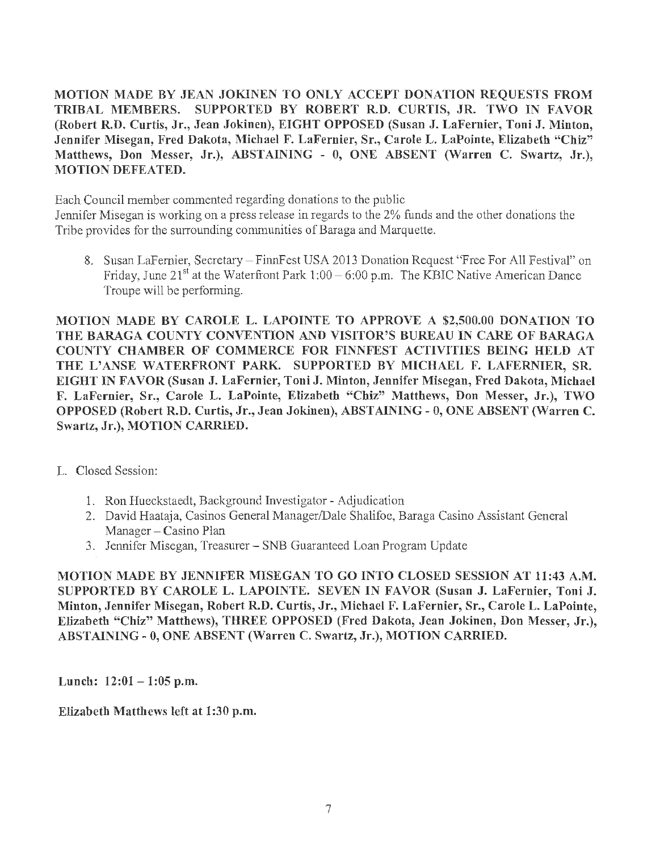MOTION MADE BY JEAN JOKINEN TO ONLY ACCEPT DONATION REQUESTS FROM TRIBAL MEMBERS. SUPPORTED BY ROBERT R.D. CURTIS, JR. TWO IN FAVOR (Robert R.D. Curtis, Jr., Jean Jokinen), EIGHT OPPOSED (Susan J. LaFernier, Toni J. Minton, Jennifer Misegan, Fred Dakota, Michael F. LaFernier, Sr., Carole L. LaPointe, Elizabeth "Chiz" Matthews, Don Messer, Jr.), ABSTAINING - 0, ONE ABSENT (Warren C. Swartz, Jr.), MOTION DEFEATED.

Each Council member commented regarding donations to the public

Jennifer Misegan is working on a press release in regards to the 2% funds and the other donations the Tribe provides for the surrounding communities of Baraga and Marquette.

8. Susan LaFernier, Secretary - FinnFest USA 2013 Donation Request "Free For All Festival" on Friday, June 21<sup>st</sup> at the Waterfront Park 1:00 – 6:00 p.m. The KBIC Native American Dance Troupe will be performing.

MOTION MADE BY CAROLE L. LAPOINTE TO APPROVE A \$2,500.00 DONATION TO THE BARAGA COUNTY CONVENTION AND VISITOR'S BUREAU IN CARE OF BARAGA COUNTY CHAMBER OF COMMERCE FOR FINNFEST ACTIVITIES BEING HELD AT THE L'ANSE WATERFRONT PARK. SUPPORTED BY MICHAEL F. LAFERNIER, SR. EIGHT IN FAVOR (Susan J. LaFernier, Toni J. Minton, Jennifer Misegan, Fred Dakota, Michael F. LaFernier, Sr., Carole L. LaPointe, Elizabeth "Chiz" Matthews, Don Messer, Jr.), TWO OPPOSED (Robert R.D. Curtis, Jr., Jean Jokinen), ABSTAINING- O, ONE ABSENT (Warren C. Swartz, Jr.), MOTION CARRIED.

- L. Closed Session:
	- 1. Ron Hueckstaedt, Background Investigator Adjudication
	- 2. David Haataja, Casinos General Manager/Dale Shalifoe, Baraga Casino Assistant General Manager - Casino Plan
	- 3. Jennifer Misegan, Treasurer SNB Guaranteed Loan Program Update

MOTION MADE BY JENNIFER MISEGAN TO GO INTO CLOSED SESSION AT 11:43 A.M. SUPPORTED BY CAROLE L. LAPOINTE. SEVEN IN FAVOR (Susan J. LaFernier, Toni J. Minton, Jennifer Misegan, Robert R.D. Curtis, Jr., Michael F. LaFernier, Sr., Carole L. LaPointe, Elizabeth "Chiz" Matthews), THREE OPPOSED (Fred Dakota, Jean Jokinen, Don Messer, Jr.), ABSTAINING - O, ONE ABSENT (Warren C. Swartz, Jr.), MOTION CARRIED.

Lunch:  $12:01-1:05$  p.m.

Elizabeth Matthews left at 1:30 p.m.